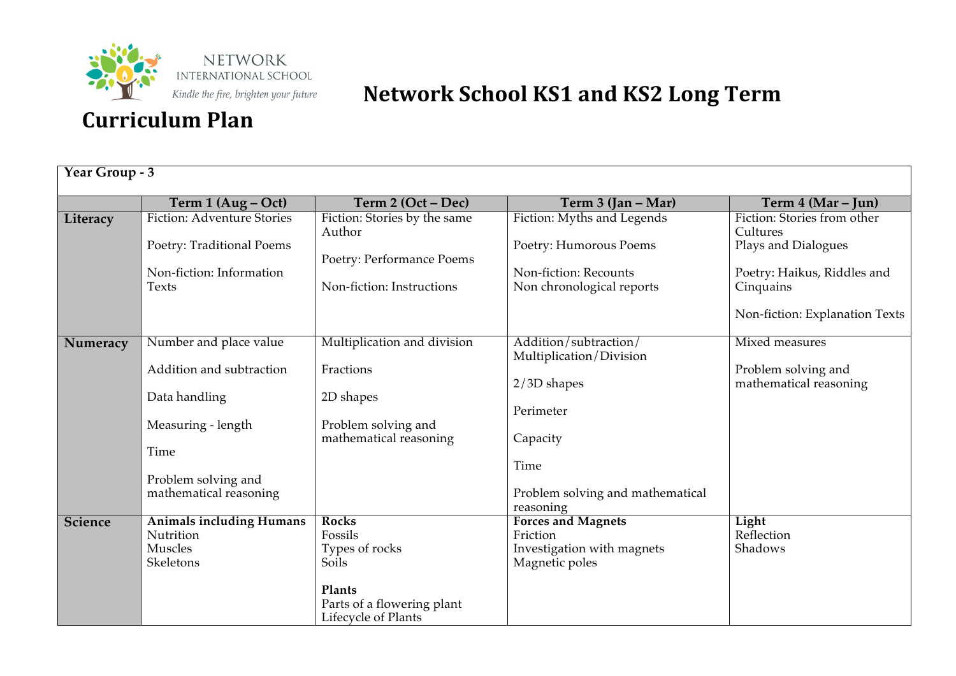

| Year Group - 3 |                                               |                                               |                                                  |                                               |  |
|----------------|-----------------------------------------------|-----------------------------------------------|--------------------------------------------------|-----------------------------------------------|--|
|                | Term 1 (Aug – Oct)                            | Term 2 (Oct – Dec)                            | Term 3 (Jan - Mar)                               | Term 4 (Mar – Jun)                            |  |
| Literacy       | <b>Fiction: Adventure Stories</b>             | Fiction: Stories by the same<br>Author        | Fiction: Myths and Legends                       | Fiction: Stories from other<br>Cultures       |  |
|                | Poetry: Traditional Poems                     | Poetry: Performance Poems                     | Poetry: Humorous Poems                           | Plays and Dialogues                           |  |
|                | Non-fiction: Information                      |                                               | Non-fiction: Recounts                            | Poetry: Haikus, Riddles and                   |  |
|                | Texts                                         | Non-fiction: Instructions                     | Non chronological reports                        | Cinquains                                     |  |
|                |                                               |                                               |                                                  | Non-fiction: Explanation Texts                |  |
| Numeracy       | Number and place value                        | Multiplication and division                   | Addition/subtraction/<br>Multiplication/Division | Mixed measures                                |  |
|                | Addition and subtraction                      | Fractions                                     | 2/3D shapes                                      | Problem solving and<br>mathematical reasoning |  |
|                | Data handling                                 | 2D shapes                                     | Perimeter                                        |                                               |  |
|                | Measuring - length                            | Problem solving and<br>mathematical reasoning | Capacity                                         |                                               |  |
|                | Time                                          |                                               |                                                  |                                               |  |
|                |                                               |                                               | Time                                             |                                               |  |
|                | Problem solving and<br>mathematical reasoning |                                               | Problem solving and mathematical<br>reasoning    |                                               |  |
| <b>Science</b> | <b>Animals including Humans</b>               | <b>Rocks</b>                                  | <b>Forces and Magnets</b>                        | Light                                         |  |
|                | Nutrition                                     | Fossils                                       | Friction                                         | Reflection                                    |  |
|                | Muscles                                       | Types of rocks                                | Investigation with magnets                       | Shadows                                       |  |
|                | Skeletons                                     | Soils                                         | Magnetic poles                                   |                                               |  |
|                |                                               | Plants                                        |                                                  |                                               |  |
|                |                                               | Parts of a flowering plant                    |                                                  |                                               |  |
|                |                                               | Lifecycle of Plants                           |                                                  |                                               |  |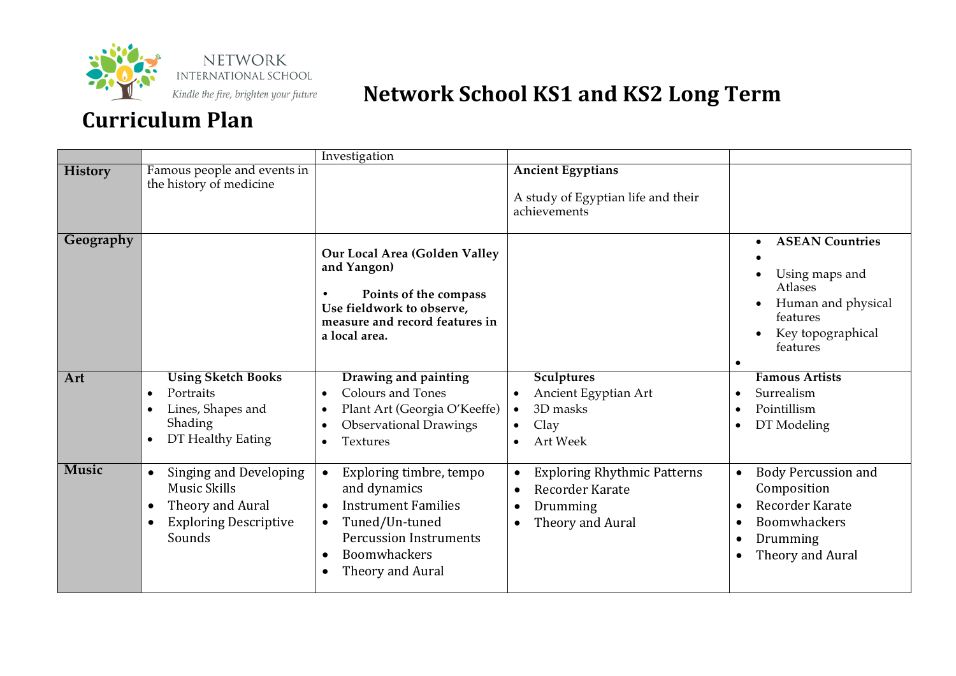

|                  |                                                                                                                                            | Investigation                                                                                                                                                                                                                                                                                                                  |                                                                                                                              |                                                                                                                                                                                                          |
|------------------|--------------------------------------------------------------------------------------------------------------------------------------------|--------------------------------------------------------------------------------------------------------------------------------------------------------------------------------------------------------------------------------------------------------------------------------------------------------------------------------|------------------------------------------------------------------------------------------------------------------------------|----------------------------------------------------------------------------------------------------------------------------------------------------------------------------------------------------------|
| <b>History</b>   | Famous people and events in<br>the history of medicine                                                                                     |                                                                                                                                                                                                                                                                                                                                | <b>Ancient Egyptians</b><br>A study of Egyptian life and their<br>achievements                                               |                                                                                                                                                                                                          |
| Geography<br>Art | <b>Using Sketch Books</b><br>Portraits<br>Lines, Shapes and<br>Shading                                                                     | Our Local Area (Golden Valley<br>and Yangon)<br>Points of the compass<br>$\bullet$<br>Use fieldwork to observe,<br>measure and record features in<br>a local area.<br>Drawing and painting<br><b>Colours and Tones</b><br>$\bullet$<br>Plant Art (Georgia O'Keeffe)<br>$\bullet$<br><b>Observational Drawings</b><br>$\bullet$ | <b>Sculptures</b><br>Ancient Egyptian Art<br>3D masks<br>$\bullet$<br>Clay<br>$\bullet$                                      | <b>ASEAN Countries</b><br>$\bullet$<br>Using maps and<br>Atlases<br>Human and physical<br>features<br>Key topographical<br>features<br><b>Famous Artists</b><br>Surrealism<br>Pointillism<br>DT Modeling |
|                  | DT Healthy Eating<br>$\bullet$                                                                                                             | Textures<br>$\bullet$                                                                                                                                                                                                                                                                                                          | <b>Art Week</b>                                                                                                              |                                                                                                                                                                                                          |
| <b>Music</b>     | Singing and Developing<br>$\bullet$<br><b>Music Skills</b><br>Theory and Aural<br>٠<br><b>Exploring Descriptive</b><br>$\bullet$<br>Sounds | Exploring timbre, tempo<br>and dynamics<br><b>Instrument Families</b><br>$\bullet$<br>Tuned/Un-tuned<br><b>Percussion Instruments</b><br>Boomwhackers<br>$\bullet$<br>Theory and Aural<br>$\bullet$                                                                                                                            | <b>Exploring Rhythmic Patterns</b><br>$\bullet$<br>Recorder Karate<br>$\bullet$<br>Drumming<br>Theory and Aural<br>$\bullet$ | <b>Body Percussion and</b><br>$\bullet$<br>Composition<br>Recorder Karate<br><b>Boomwhackers</b><br>Drumming<br>Theory and Aural<br>$\bullet$                                                            |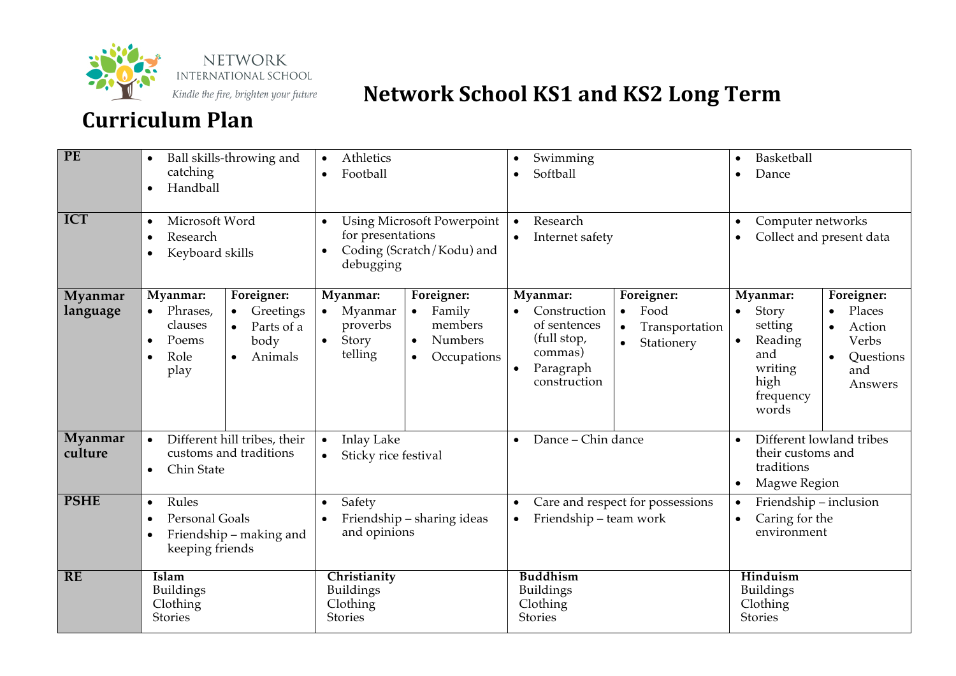

| PE                  | Ball skills-throwing and<br>catching<br>Handball                                                                                                            | Athletics<br>$\bullet$<br>Football<br>$\bullet$                                                                                                                | Swimming<br>Softball                                                                                                                                                                         | Basketball<br>$\bullet$<br>Dance<br>$\bullet$                                                                                                                                               |
|---------------------|-------------------------------------------------------------------------------------------------------------------------------------------------------------|----------------------------------------------------------------------------------------------------------------------------------------------------------------|----------------------------------------------------------------------------------------------------------------------------------------------------------------------------------------------|---------------------------------------------------------------------------------------------------------------------------------------------------------------------------------------------|
| ICT                 | Microsoft Word<br>$\bullet$<br>Research<br>$\bullet$<br>Keyboard skills<br>$\bullet$                                                                        | <b>Using Microsoft Powerpoint</b><br>$\bullet$<br>for presentations<br>Coding (Scratch/Kodu) and<br>debugging                                                  | Research<br>$\bullet$<br>Internet safety                                                                                                                                                     | Computer networks<br>$\bullet$<br>Collect and present data                                                                                                                                  |
| Myanmar<br>language | Foreigner:<br>Myanmar:<br>Phrases,<br>Greetings<br>clauses<br>Parts of a<br>$\bullet$<br>Poems<br>body<br>Role<br>Animals<br>$\bullet$<br>$\bullet$<br>play | Myanmar:<br>Foreigner:<br>Myanmar<br>Family<br>proverbs<br>members<br>Story<br><b>Numbers</b><br>$\bullet$<br>$\bullet$<br>telling<br>Occupations<br>$\bullet$ | Foreigner:<br>Myanmar:<br>Food<br>Construction<br>$\bullet$<br>of sentences<br>Transportation<br>$\bullet$<br>(full stop,<br>Stationery<br>commas)<br>Paragraph<br>$\bullet$<br>construction | Foreigner:<br>Myanmar:<br>Story<br>Places<br>setting<br>Action<br>$\bullet$<br>Reading<br>Verbs<br>$\bullet$<br>and<br>Questions<br>writing<br>and<br>high<br>Answers<br>frequency<br>words |
| Myanmar<br>culture  | Different hill tribes, their<br>customs and traditions<br>Chin State<br>$\bullet$                                                                           | <b>Inlay Lake</b><br>$\bullet$<br>Sticky rice festival<br>$\bullet$                                                                                            | Dance - Chin dance                                                                                                                                                                           | Different lowland tribes<br>their customs and<br>traditions<br>Magwe Region<br>$\bullet$                                                                                                    |
| <b>PSHE</b>         | Rules<br>$\bullet$<br><b>Personal Goals</b><br>$\bullet$<br>Friendship - making and<br>keeping friends                                                      | Safety<br>$\bullet$<br>Friendship - sharing ideas<br>and opinions                                                                                              | Care and respect for possessions<br>Friendship - team work<br>$\bullet$                                                                                                                      | Friendship - inclusion<br>$\bullet$<br>Caring for the<br>environment                                                                                                                        |
| <b>RE</b>           | Islam<br><b>Buildings</b><br>Clothing<br><b>Stories</b>                                                                                                     | Christianity<br><b>Buildings</b><br>Clothing<br>Stories                                                                                                        | <b>Buddhism</b><br><b>Buildings</b><br>Clothing<br>Stories                                                                                                                                   | Hinduism<br><b>Buildings</b><br>Clothing<br>Stories                                                                                                                                         |